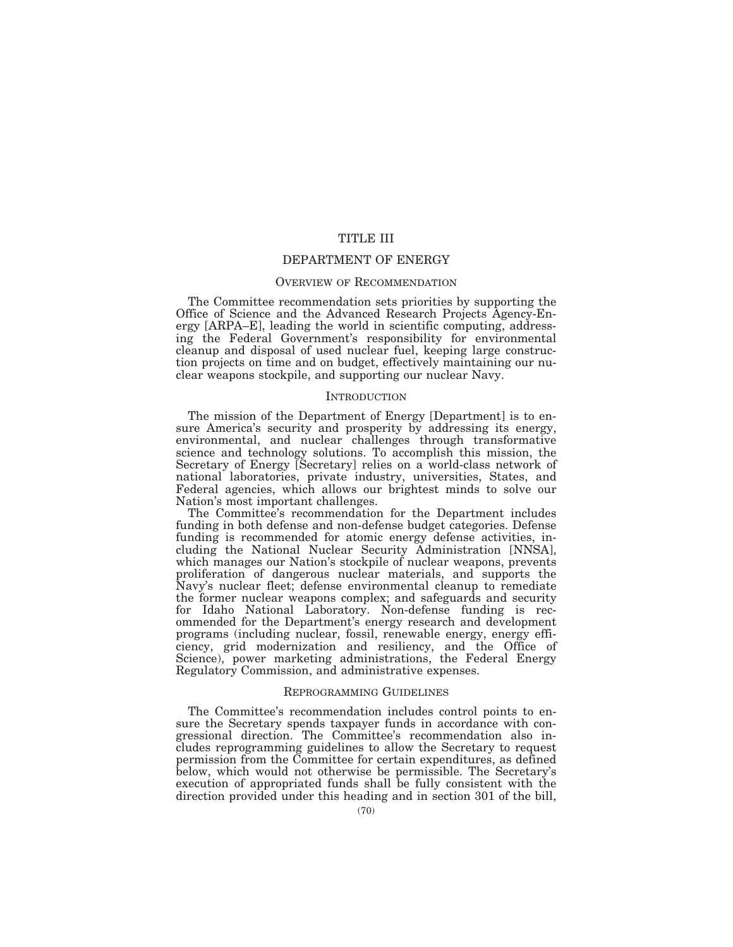# TITLE III

# DEPARTMENT OF ENERGY

# OVERVIEW OF RECOMMENDATION

The Committee recommendation sets priorities by supporting the Office of Science and the Advanced Research Projects Agency-Energy [ARPA–E], leading the world in scientific computing, addressing the Federal Government's responsibility for environmental cleanup and disposal of used nuclear fuel, keeping large construction projects on time and on budget, effectively maintaining our nuclear weapons stockpile, and supporting our nuclear Navy.

#### INTRODUCTION

The mission of the Department of Energy [Department] is to ensure America's security and prosperity by addressing its energy, environmental, and nuclear challenges through transformative science and technology solutions. To accomplish this mission, the Secretary of Energy [Secretary] relies on a world-class network of national laboratories, private industry, universities, States, and Federal agencies, which allows our brightest minds to solve our Nation's most important challenges.

The Committee's recommendation for the Department includes funding in both defense and non-defense budget categories. Defense funding is recommended for atomic energy defense activities, including the National Nuclear Security Administration [NNSA], which manages our Nation's stockpile of nuclear weapons, prevents proliferation of dangerous nuclear materials, and supports the Navy's nuclear fleet; defense environmental cleanup to remediate the former nuclear weapons complex; and safeguards and security for Idaho National Laboratory. Non-defense funding is recommended for the Department's energy research and development programs (including nuclear, fossil, renewable energy, energy efficiency, grid modernization and resiliency, and the Office of Science), power marketing administrations, the Federal Energy Regulatory Commission, and administrative expenses.

## REPROGRAMMING GUIDELINES

The Committee's recommendation includes control points to ensure the Secretary spends taxpayer funds in accordance with congressional direction. The Committee's recommendation also includes reprogramming guidelines to allow the Secretary to request permission from the Committee for certain expenditures, as defined below, which would not otherwise be permissible. The Secretary's execution of appropriated funds shall be fully consistent with the direction provided under this heading and in section 301 of the bill,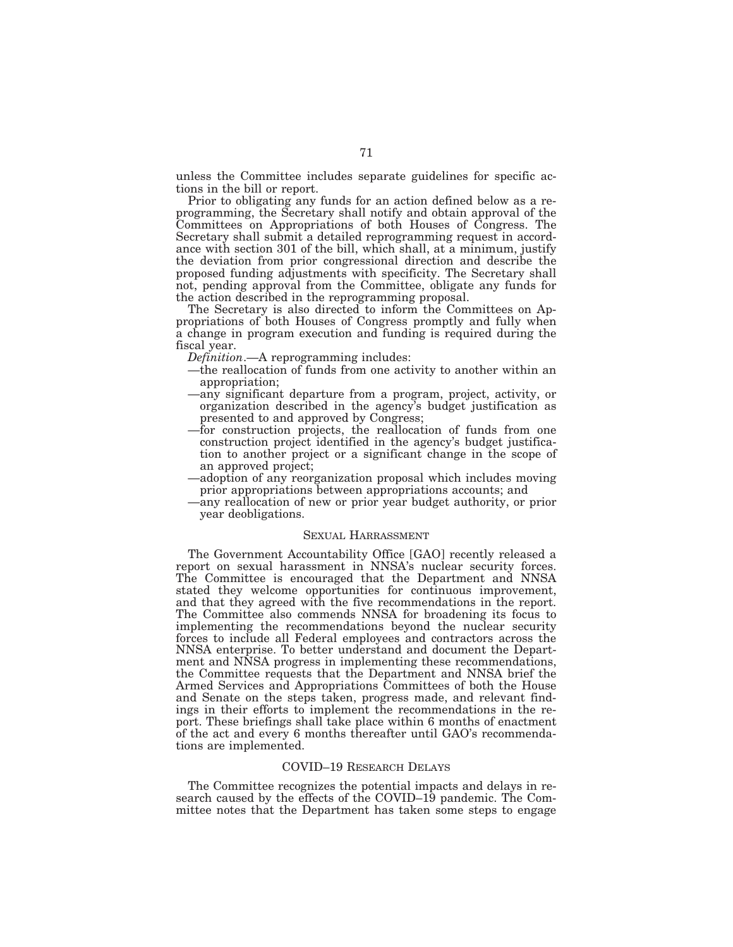unless the Committee includes separate guidelines for specific actions in the bill or report.

Prior to obligating any funds for an action defined below as a reprogramming, the Secretary shall notify and obtain approval of the Committees on Appropriations of both Houses of Congress. The Secretary shall submit a detailed reprogramming request in accordance with section 301 of the bill, which shall, at a minimum, justify the deviation from prior congressional direction and describe the proposed funding adjustments with specificity. The Secretary shall not, pending approval from the Committee, obligate any funds for the action described in the reprogramming proposal.

The Secretary is also directed to inform the Committees on Appropriations of both Houses of Congress promptly and fully when a change in program execution and funding is required during the fiscal year.

*Definition*.—A reprogramming includes:

- —the reallocation of funds from one activity to another within an appropriation;
- —any significant departure from a program, project, activity, or organization described in the agency's budget justification as presented to and approved by Congress;
- —for construction projects, the reallocation of funds from one construction project identified in the agency's budget justification to another project or a significant change in the scope of an approved project;
- —adoption of any reorganization proposal which includes moving prior appropriations between appropriations accounts; and
- —any reallocation of new or prior year budget authority, or prior year deobligations.

## SEXUAL HARRASSMENT

The Government Accountability Office [GAO] recently released a report on sexual harassment in NNSA's nuclear security forces. The Committee is encouraged that the Department and NNSA stated they welcome opportunities for continuous improvement, and that they agreed with the five recommendations in the report. The Committee also commends NNSA for broadening its focus to implementing the recommendations beyond the nuclear security forces to include all Federal employees and contractors across the NNSA enterprise. To better understand and document the Department and NNSA progress in implementing these recommendations, the Committee requests that the Department and NNSA brief the Armed Services and Appropriations Committees of both the House and Senate on the steps taken, progress made, and relevant findings in their efforts to implement the recommendations in the report. These briefings shall take place within 6 months of enactment of the act and every 6 months thereafter until GAO's recommendations are implemented.

## COVID–19 RESEARCH DELAYS

The Committee recognizes the potential impacts and delays in research caused by the effects of the COVID–19 pandemic. The Committee notes that the Department has taken some steps to engage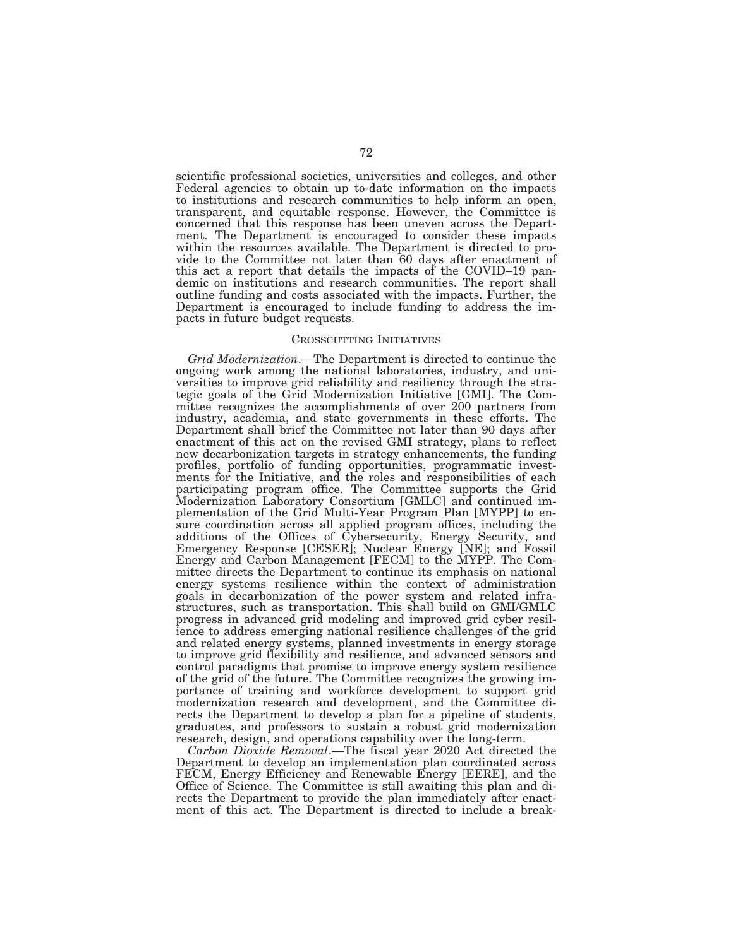scientific professional societies, universities and colleges, and other Federal agencies to obtain up to-date information on the impacts to institutions and research communities to help inform an open, transparent, and equitable response. However, the Committee is concerned that this response has been uneven across the Department. The Department is encouraged to consider these impacts within the resources available. The Department is directed to provide to the Committee not later than 60 days after enactment of this act a report that details the impacts of the COVID–19 pandemic on institutions and research communities. The report shall outline funding and costs associated with the impacts. Further, the Department is encouraged to include funding to address the impacts in future budget requests.

#### CROSSCUTTING INITIATIVES

*Grid Modernization*.—The Department is directed to continue the ongoing work among the national laboratories, industry, and universities to improve grid reliability and resiliency through the strategic goals of the Grid Modernization Initiative [GMI]. The Committee recognizes the accomplishments of over 200 partners from industry, academia, and state governments in these efforts. The Department shall brief the Committee not later than 90 days after enactment of this act on the revised GMI strategy, plans to reflect new decarbonization targets in strategy enhancements, the funding profiles, portfolio of funding opportunities, programmatic investments for the Initiative, and the roles and responsibilities of each participating program office. The Committee supports the Grid Modernization Laboratory Consortium [GMLC] and continued implementation of the Grid Multi-Year Program Plan [MYPP] to ensure coordination across all applied program offices, including the additions of the Offices of Cybersecurity, Energy Security, and Emergency Response [CESER]; Nuclear Energy [NE]; and Fossil Energy and Carbon Management [FECM] to the MYPP. The Committee directs the Department to continue its emphasis on national energy systems resilience within the context of administration goals in decarbonization of the power system and related infrastructures, such as transportation. This shall build on GMI/GMLC progress in advanced grid modeling and improved grid cyber resilience to address emerging national resilience challenges of the grid and related energy systems, planned investments in energy storage to improve grid flexibility and resilience, and advanced sensors and control paradigms that promise to improve energy system resilience of the grid of the future. The Committee recognizes the growing importance of training and workforce development to support grid modernization research and development, and the Committee directs the Department to develop a plan for a pipeline of students, graduates, and professors to sustain a robust grid modernization research, design, and operations capability over the long-term.

*Carbon Dioxide Removal*.—The fiscal year 2020 Act directed the Department to develop an implementation plan coordinated across FECM, Energy Efficiency and Renewable Energy [EERE], and the Office of Science. The Committee is still awaiting this plan and directs the Department to provide the plan immediately after enactment of this act. The Department is directed to include a break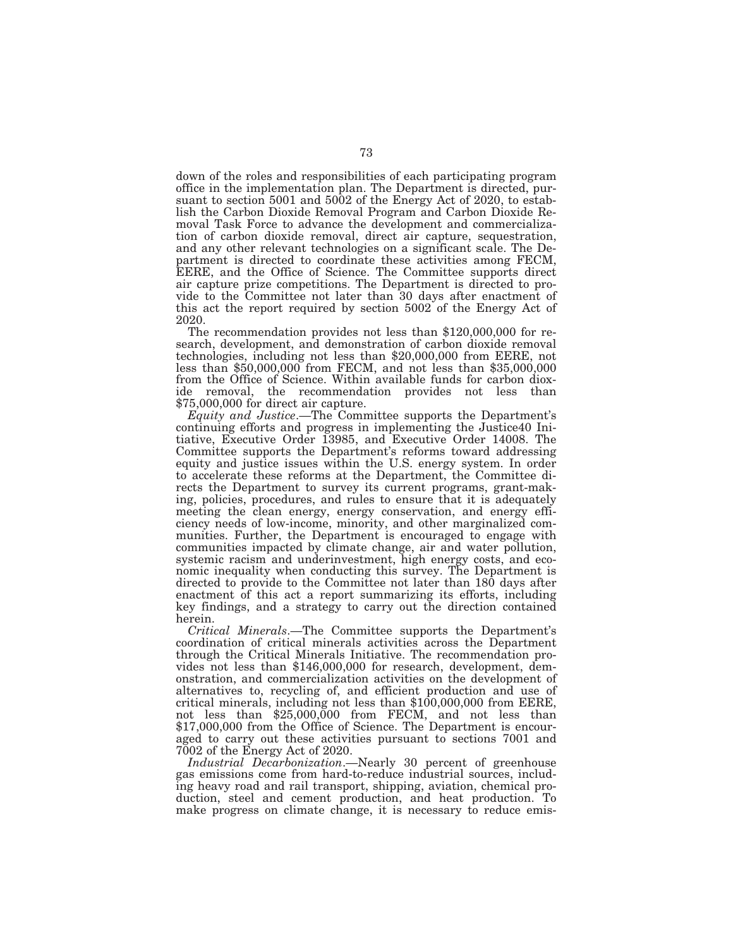down of the roles and responsibilities of each participating program office in the implementation plan. The Department is directed, pursuant to section 5001 and 5002 of the Energy Act of 2020, to establish the Carbon Dioxide Removal Program and Carbon Dioxide Removal Task Force to advance the development and commercialization of carbon dioxide removal, direct air capture, sequestration, and any other relevant technologies on a significant scale. The Department is directed to coordinate these activities among FECM, EERE, and the Office of Science. The Committee supports direct air capture prize competitions. The Department is directed to provide to the Committee not later than 30 days after enactment of this act the report required by section 5002 of the Energy Act of 2020.

The recommendation provides not less than \$120,000,000 for research, development, and demonstration of carbon dioxide removal technologies, including not less than \$20,000,000 from EERE, not less than \$50,000,000 from FECM, and not less than \$35,000,000 from the Office of Science. Within available funds for carbon dioxide removal, the recommendation provides not less than \$75,000,000 for direct air capture.

*Equity and Justice*.—The Committee supports the Department's continuing efforts and progress in implementing the Justice40 Initiative, Executive Order 13985, and Executive Order 14008. The Committee supports the Department's reforms toward addressing equity and justice issues within the U.S. energy system. In order to accelerate these reforms at the Department, the Committee directs the Department to survey its current programs, grant-making, policies, procedures, and rules to ensure that it is adequately meeting the clean energy, energy conservation, and energy efficiency needs of low-income, minority, and other marginalized communities. Further, the Department is encouraged to engage with communities impacted by climate change, air and water pollution, systemic racism and underinvestment, high energy costs, and economic inequality when conducting this survey. The Department is directed to provide to the Committee not later than 180 days after enactment of this act a report summarizing its efforts, including key findings, and a strategy to carry out the direction contained herein.

*Critical Minerals*.—The Committee supports the Department's coordination of critical minerals activities across the Department through the Critical Minerals Initiative. The recommendation provides not less than \$146,000,000 for research, development, demonstration, and commercialization activities on the development of alternatives to, recycling of, and efficient production and use of critical minerals, including not less than \$100,000,000 from EERE, not less than \$25,000,000 from FECM, and not less than \$17,000,000 from the Office of Science. The Department is encouraged to carry out these activities pursuant to sections 7001 and 7002 of the Energy Act of 2020.

*Industrial Decarbonization*.—Nearly 30 percent of greenhouse gas emissions come from hard-to-reduce industrial sources, including heavy road and rail transport, shipping, aviation, chemical production, steel and cement production, and heat production. To make progress on climate change, it is necessary to reduce emis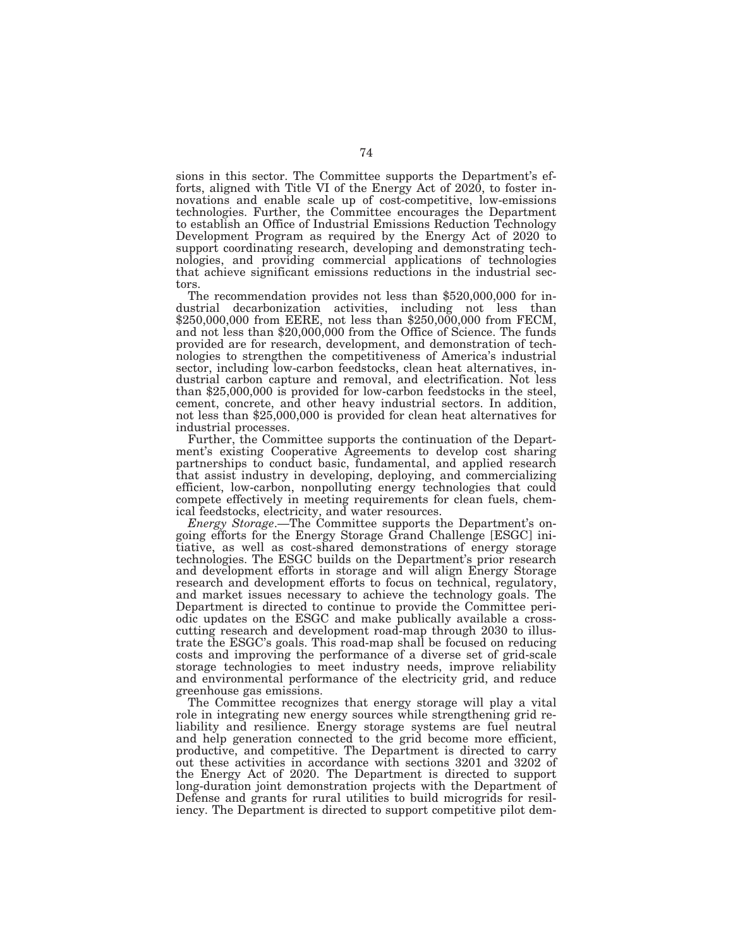sions in this sector. The Committee supports the Department's efforts, aligned with Title VI of the Energy Act of 2020, to foster innovations and enable scale up of cost-competitive, low-emissions technologies. Further, the Committee encourages the Department to establish an Office of Industrial Emissions Reduction Technology Development Program as required by the Energy Act of 2020 to support coordinating research, developing and demonstrating technologies, and providing commercial applications of technologies that achieve significant emissions reductions in the industrial sectors.

The recommendation provides not less than \$520,000,000 for industrial decarbonization activities, including not less than \$250,000,000 from EERE, not less than \$250,000,000 from FECM, and not less than \$20,000,000 from the Office of Science. The funds provided are for research, development, and demonstration of technologies to strengthen the competitiveness of America's industrial sector, including low-carbon feedstocks, clean heat alternatives, industrial carbon capture and removal, and electrification. Not less than \$25,000,000 is provided for low-carbon feedstocks in the steel, cement, concrete, and other heavy industrial sectors. In addition, not less than \$25,000,000 is provided for clean heat alternatives for industrial processes.

Further, the Committee supports the continuation of the Department's existing Cooperative Agreements to develop cost sharing partnerships to conduct basic, fundamental, and applied research that assist industry in developing, deploying, and commercializing efficient, low-carbon, nonpolluting energy technologies that could compete effectively in meeting requirements for clean fuels, chemical feedstocks, electricity, and water resources.

*Energy Storage*.—The Committee supports the Department's ongoing efforts for the Energy Storage Grand Challenge [ESGC] initiative, as well as cost-shared demonstrations of energy storage technologies. The ESGC builds on the Department's prior research and development efforts in storage and will align Energy Storage research and development efforts to focus on technical, regulatory, and market issues necessary to achieve the technology goals. The Department is directed to continue to provide the Committee periodic updates on the ESGC and make publically available a crosscutting research and development road-map through 2030 to illustrate the ESGC's goals. This road-map shall be focused on reducing costs and improving the performance of a diverse set of grid-scale storage technologies to meet industry needs, improve reliability and environmental performance of the electricity grid, and reduce greenhouse gas emissions.

The Committee recognizes that energy storage will play a vital role in integrating new energy sources while strengthening grid reliability and resilience. Energy storage systems are fuel neutral and help generation connected to the grid become more efficient, productive, and competitive. The Department is directed to carry out these activities in accordance with sections 3201 and 3202 of the Energy Act of 2020. The Department is directed to support long-duration joint demonstration projects with the Department of Defense and grants for rural utilities to build microgrids for resiliency. The Department is directed to support competitive pilot dem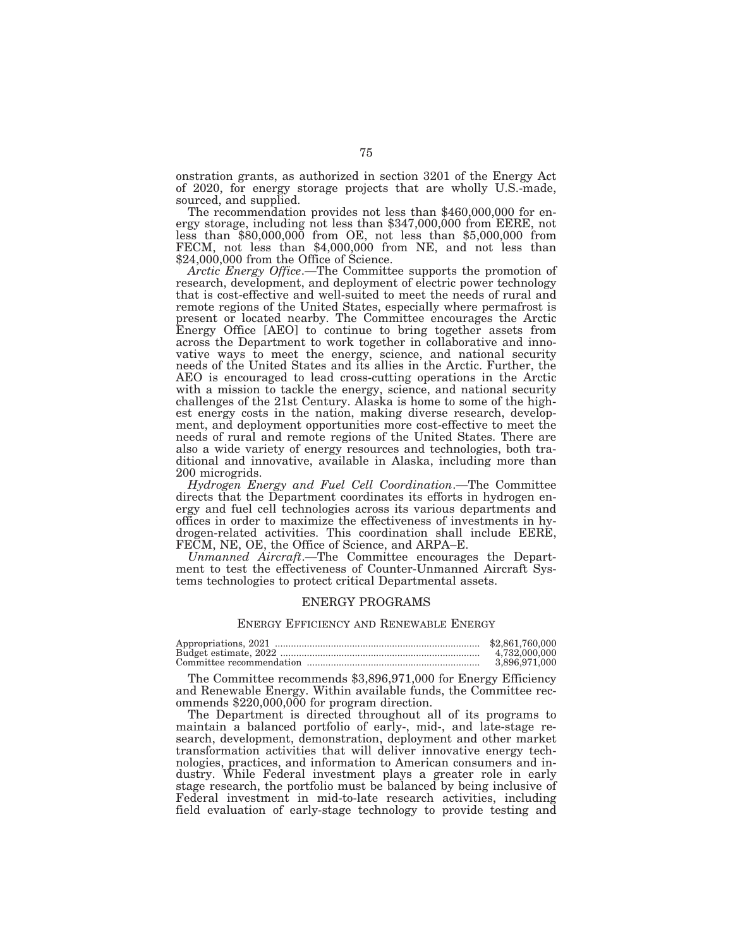onstration grants, as authorized in section 3201 of the Energy Act of 2020, for energy storage projects that are wholly U.S.-made,

sourced, and supplied.<br>The recommendation provides not less than \$460,000,000 for en-<br>ergy storage, including not less than \$347,000,000 from EERE, not less than \$80,000,000 from OE, not less than \$5,000,000 from FECM, not less than \$4,000,000 from NE, and not less than \$24,000,000 from the Office of Science.

*Arctic Energy Office*.—The Committee supports the promotion of research, development, and deployment of electric power technology that is cost-effective and well-suited to meet the needs of rural and remote regions of the United States, especially where permafrost is present or located nearby. The Committee encourages the Arctic Energy Office [AEO] to continue to bring together assets from across the Department to work together in collaborative and innovative ways to meet the energy, science, and national security needs of the United States and its allies in the Arctic. Further, the AEO is encouraged to lead cross-cutting operations in the Arctic with a mission to tackle the energy, science, and national security challenges of the 21st Century. Alaska is home to some of the highest energy costs in the nation, making diverse research, development, and deployment opportunities more cost-effective to meet the needs of rural and remote regions of the United States. There are also a wide variety of energy resources and technologies, both traditional and innovative, available in Alaska, including more than 200 microgrids.

*Hydrogen Energy and Fuel Cell Coordination*.—The Committee directs that the Department coordinates its efforts in hydrogen energy and fuel cell technologies across its various departments and offices in order to maximize the effectiveness of investments in hydrogen-related activities. This coordination shall include EERE, FECM, NE, OE, the Office of Science, and ARPA–E.

*Unmanned Aircraft*.—The Committee encourages the Department to test the effectiveness of Counter-Unmanned Aircraft Systems technologies to protect critical Departmental assets.

## ENERGY PROGRAMS

## ENERGY EFFICIENCY AND RENEWABLE ENERGY

| \$2,861,760,000 |
|-----------------|
| 4.732,000,000   |
| 3.896.971.000   |

The Committee recommends \$3,896,971,000 for Energy Efficiency and Renewable Energy. Within available funds, the Committee recommends \$220,000,000 for program direction.

The Department is directed throughout all of its programs to maintain a balanced portfolio of early-, mid-, and late-stage research, development, demonstration, deployment and other market transformation activities that will deliver innovative energy technologies, practices, and information to American consumers and industry. While Federal investment plays a greater role in early stage research, the portfolio must be balanced by being inclusive of Federal investment in mid-to-late research activities, including field evaluation of early-stage technology to provide testing and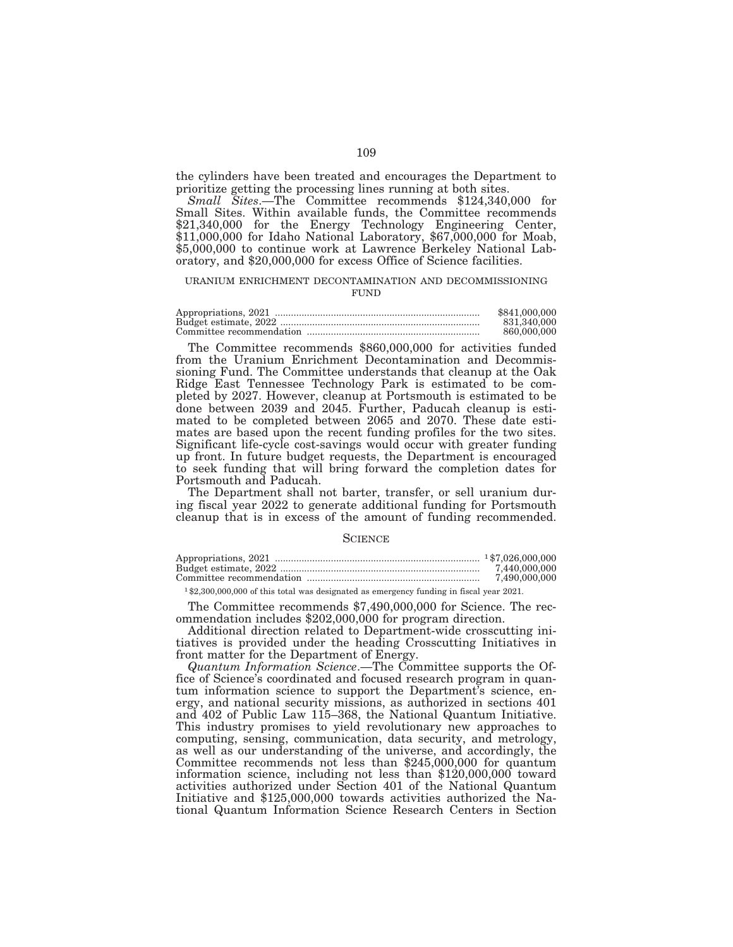the cylinders have been treated and encourages the Department to prioritize getting the processing lines running at both sites.

*Small Sites*.—The Committee recommends \$124,340,000 for Small Sites. Within available funds, the Committee recommends \$21,340,000 for the Energy Technology Engineering Center, \$11,000,000 for Idaho National Laboratory, \$67,000,000 for Moab, \$5,000,000 to continue work at Lawrence Berkeley National Laboratory, and \$20,000,000 for excess Office of Science facilities.

#### URANIUM ENRICHMENT DECONTAMINATION AND DECOMMISSIONING FUND

| \$841,000,000 |
|---------------|
| 831.340.000   |
| 860,000,000   |

The Committee recommends \$860,000,000 for activities funded from the Uranium Enrichment Decontamination and Decommissioning Fund. The Committee understands that cleanup at the Oak Ridge East Tennessee Technology Park is estimated to be completed by 2027. However, cleanup at Portsmouth is estimated to be done between 2039 and 2045. Further, Paducah cleanup is estimated to be completed between 2065 and 2070. These date estimates are based upon the recent funding profiles for the two sites. Significant life-cycle cost-savings would occur with greater funding up front. In future budget requests, the Department is encouraged to seek funding that will bring forward the completion dates for Portsmouth and Paducah.

The Department shall not barter, transfer, or sell uranium during fiscal year 2022 to generate additional funding for Portsmouth cleanup that is in excess of the amount of funding recommended.

#### **SCIENCE**

| 7.440.000.000 |
|---------------|
| 7.490.000.000 |
|               |

1 \$2,300,000,000 of this total was designated as emergency funding in fiscal year 2021.

The Committee recommends \$7,490,000,000 for Science. The recommendation includes \$202,000,000 for program direction.

Additional direction related to Department-wide crosscutting initiatives is provided under the heading Crosscutting Initiatives in front matter for the Department of Energy.

*Quantum Information Science*.—The Committee supports the Office of Science's coordinated and focused research program in quantum information science to support the Department's science, energy, and national security missions, as authorized in sections 401 and 402 of Public Law 115–368, the National Quantum Initiative. This industry promises to yield revolutionary new approaches to computing, sensing, communication, data security, and metrology, as well as our understanding of the universe, and accordingly, the Committee recommends not less than \$245,000,000 for quantum information science, including not less than \$120,000,000 toward activities authorized under Section 401 of the National Quantum Initiative and \$125,000,000 towards activities authorized the National Quantum Information Science Research Centers in Section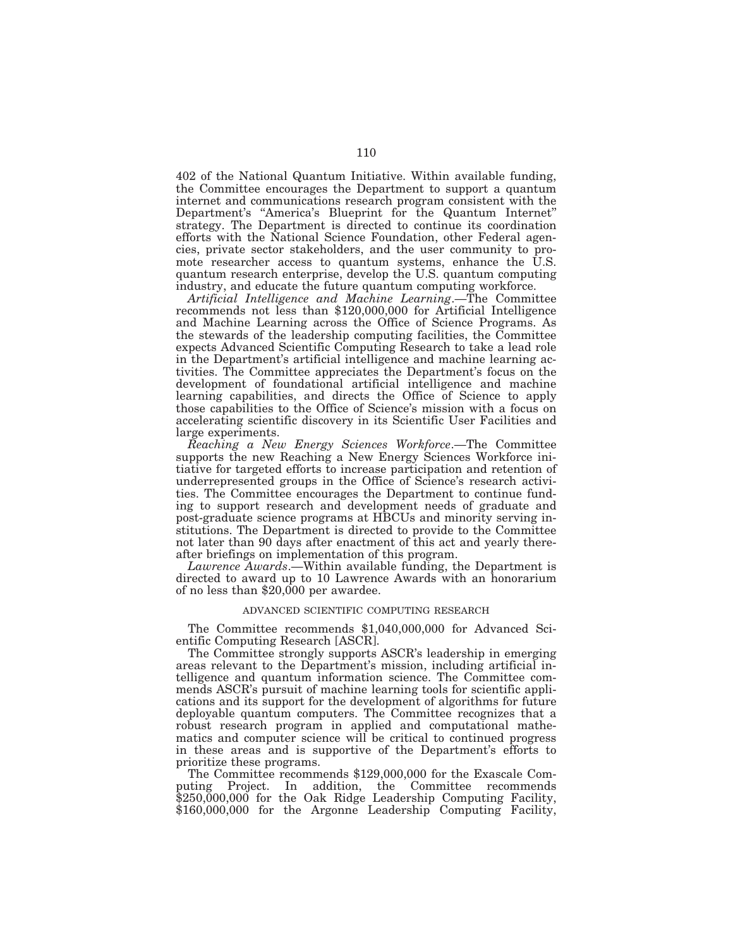402 of the National Quantum Initiative. Within available funding, the Committee encourages the Department to support a quantum internet and communications research program consistent with the Department's "America's Blueprint for the Quantum Internet" strategy. The Department is directed to continue its coordination efforts with the National Science Foundation, other Federal agencies, private sector stakeholders, and the user community to promote researcher access to quantum systems, enhance the U.S. quantum research enterprise, develop the U.S. quantum computing industry, and educate the future quantum computing workforce.

*Artificial Intelligence and Machine Learning*.—The Committee recommends not less than \$120,000,000 for Artificial Intelligence and Machine Learning across the Office of Science Programs. As the stewards of the leadership computing facilities, the Committee expects Advanced Scientific Computing Research to take a lead role in the Department's artificial intelligence and machine learning activities. The Committee appreciates the Department's focus on the development of foundational artificial intelligence and machine learning capabilities, and directs the Office of Science to apply those capabilities to the Office of Science's mission with a focus on accelerating scientific discovery in its Scientific User Facilities and large experiments.

*Reaching a New Energy Sciences Workforce*.—The Committee supports the new Reaching a New Energy Sciences Workforce initiative for targeted efforts to increase participation and retention of underrepresented groups in the Office of Science's research activities. The Committee encourages the Department to continue funding to support research and development needs of graduate and post-graduate science programs at HBCUs and minority serving institutions. The Department is directed to provide to the Committee not later than 90 days after enactment of this act and yearly thereafter briefings on implementation of this program.

*Lawrence Awards*.—Within available funding, the Department is directed to award up to 10 Lawrence Awards with an honorarium of no less than \$20,000 per awardee.

## ADVANCED SCIENTIFIC COMPUTING RESEARCH

The Committee recommends \$1,040,000,000 for Advanced Scientific Computing Research [ASCR].

The Committee strongly supports ASCR's leadership in emerging areas relevant to the Department's mission, including artificial intelligence and quantum information science. The Committee commends ASCR's pursuit of machine learning tools for scientific applications and its support for the development of algorithms for future deployable quantum computers. The Committee recognizes that a robust research program in applied and computational mathematics and computer science will be critical to continued progress in these areas and is supportive of the Department's efforts to prioritize these programs.

The Committee recommends \$129,000,000 for the Exascale Computing Project. In addition, the Committee recommends \$250,000,000 for the Oak Ridge Leadership Computing Facility, \$160,000,000 for the Argonne Leadership Computing Facility,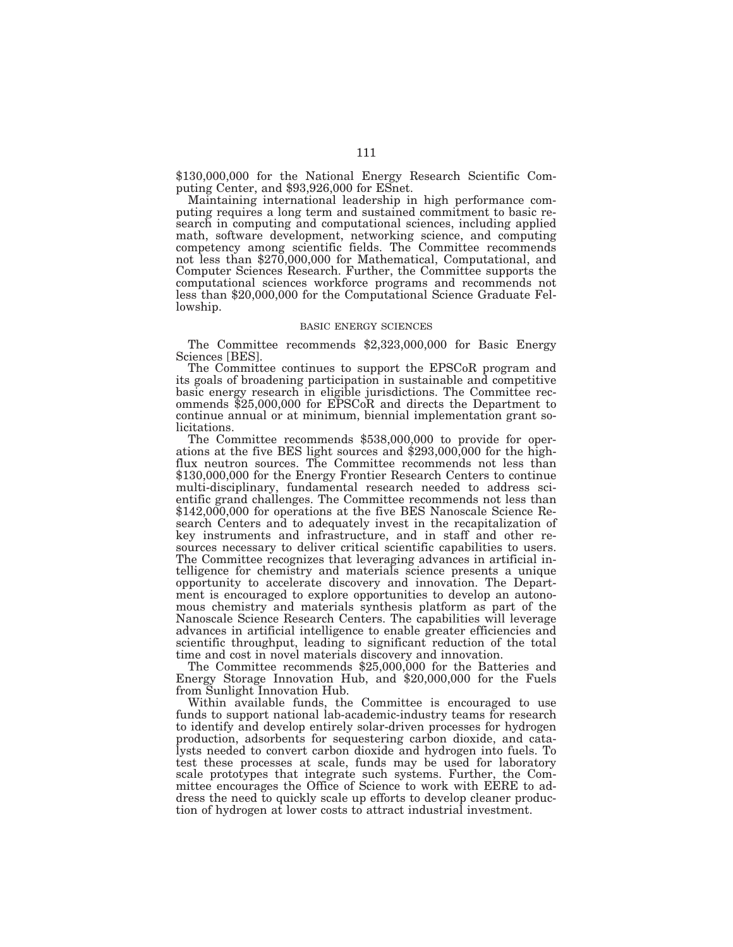\$130,000,000 for the National Energy Research Scientific Computing Center, and \$93,926,000 for ESnet.

Maintaining international leadership in high performance computing requires a long term and sustained commitment to basic research in computing and computational sciences, including applied math, software development, networking science, and computing competency among scientific fields. The Committee recommends not less than \$270,000,000 for Mathematical, Computational, and Computer Sciences Research. Further, the Committee supports the computational sciences workforce programs and recommends not less than \$20,000,000 for the Computational Science Graduate Fellowship.

## BASIC ENERGY SCIENCES

The Committee recommends \$2,323,000,000 for Basic Energy Sciences [BES].

The Committee continues to support the EPSCoR program and its goals of broadening participation in sustainable and competitive basic energy research in eligible jurisdictions. The Committee recommends \$25,000,000 for EPSCoR and directs the Department to continue annual or at minimum, biennial implementation grant solicitations.

The Committee recommends \$538,000,000 to provide for operations at the five BES light sources and \$293,000,000 for the highflux neutron sources. The Committee recommends not less than \$130,000,000 for the Energy Frontier Research Centers to continue multi-disciplinary, fundamental research needed to address scientific grand challenges. The Committee recommends not less than \$142,000,000 for operations at the five BES Nanoscale Science Research Centers and to adequately invest in the recapitalization of key instruments and infrastructure, and in staff and other resources necessary to deliver critical scientific capabilities to users. The Committee recognizes that leveraging advances in artificial intelligence for chemistry and materials science presents a unique opportunity to accelerate discovery and innovation. The Department is encouraged to explore opportunities to develop an autonomous chemistry and materials synthesis platform as part of the Nanoscale Science Research Centers. The capabilities will leverage advances in artificial intelligence to enable greater efficiencies and scientific throughput, leading to significant reduction of the total time and cost in novel materials discovery and innovation.

The Committee recommends \$25,000,000 for the Batteries and Energy Storage Innovation Hub, and \$20,000,000 for the Fuels from Sunlight Innovation Hub.

Within available funds, the Committee is encouraged to use funds to support national lab-academic-industry teams for research to identify and develop entirely solar-driven processes for hydrogen production, adsorbents for sequestering carbon dioxide, and catalysts needed to convert carbon dioxide and hydrogen into fuels. To test these processes at scale, funds may be used for laboratory scale prototypes that integrate such systems. Further, the Committee encourages the Office of Science to work with EERE to address the need to quickly scale up efforts to develop cleaner production of hydrogen at lower costs to attract industrial investment.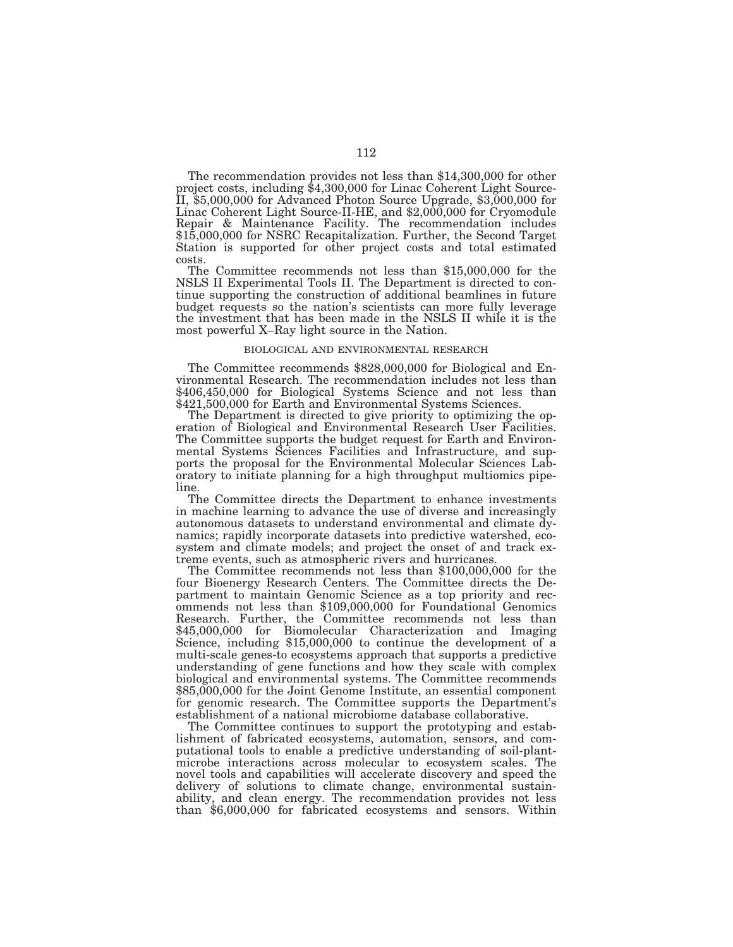The recommendation provides not less than \$14,300,000 for other project costs, including \$4,300,000 for Linac Coherent Light Source-II, \$5,000,000 for Advanced Photon Source Upgrade, \$3,000,000 for Linac Coherent Light Source-II-HE, and \$2,000,000 for Cryomodule Repair & Maintenance Facility. The recommendation includes \$15,000,000 for NSRC Recapitalization. Further, the Second Target Station is supported for other project costs and total estimated costs.

The Committee recommends not less than \$15,000,000 for the NSLS II Experimental Tools II. The Department is directed to continue supporting the construction of additional beamlines in future budget requests so the nation's scientists can more fully leverage the investment that has been made in the NSLS II while it is the most powerful X–Ray light source in the Nation.

#### BIOLOGICAL AND ENVIRONMENTAL RESEARCH

The Committee recommends \$828,000,000 for Biological and Environmental Research. The recommendation includes not less than \$406,450,000 for Biological Systems Science and not less than \$421,500,000 for Earth and Environmental Systems Sciences.

The Department is directed to give priority to optimizing the operation of Biological and Environmental Research User Facilities. The Committee supports the budget request for Earth and Environmental Systems Sciences Facilities and Infrastructure, and supports the proposal for the Environmental Molecular Sciences Laboratory to initiate planning for a high throughput multiomics pipeline.

The Committee directs the Department to enhance investments in machine learning to advance the use of diverse and increasingly autonomous datasets to understand environmental and climate dynamics; rapidly incorporate datasets into predictive watershed, ecosystem and climate models; and project the onset of and track extreme events, such as atmospheric rivers and hurricanes.

The Committee recommends not less than \$100,000,000 for the four Bioenergy Research Centers. The Committee directs the Department to maintain Genomic Science as a top priority and recommends not less than \$109,000,000 for Foundational Genomics Research. Further, the Committee recommends not less than \$45,000,000 for Biomolecular Characterization and Imaging Science, including \$15,000,000 to continue the development of a multi-scale genes-to ecosystems approach that supports a predictive understanding of gene functions and how they scale with complex biological and environmental systems. The Committee recommends \$85,000,000 for the Joint Genome Institute, an essential component for genomic research. The Committee supports the Department's establishment of a national microbiome database collaborative.

The Committee continues to support the prototyping and establishment of fabricated ecosystems, automation, sensors, and computational tools to enable a predictive understanding of soil-plantmicrobe interactions across molecular to ecosystem scales. The novel tools and capabilities will accelerate discovery and speed the delivery of solutions to climate change, environmental sustainability, and clean energy. The recommendation provides not less than \$6,000,000 for fabricated ecosystems and sensors. Within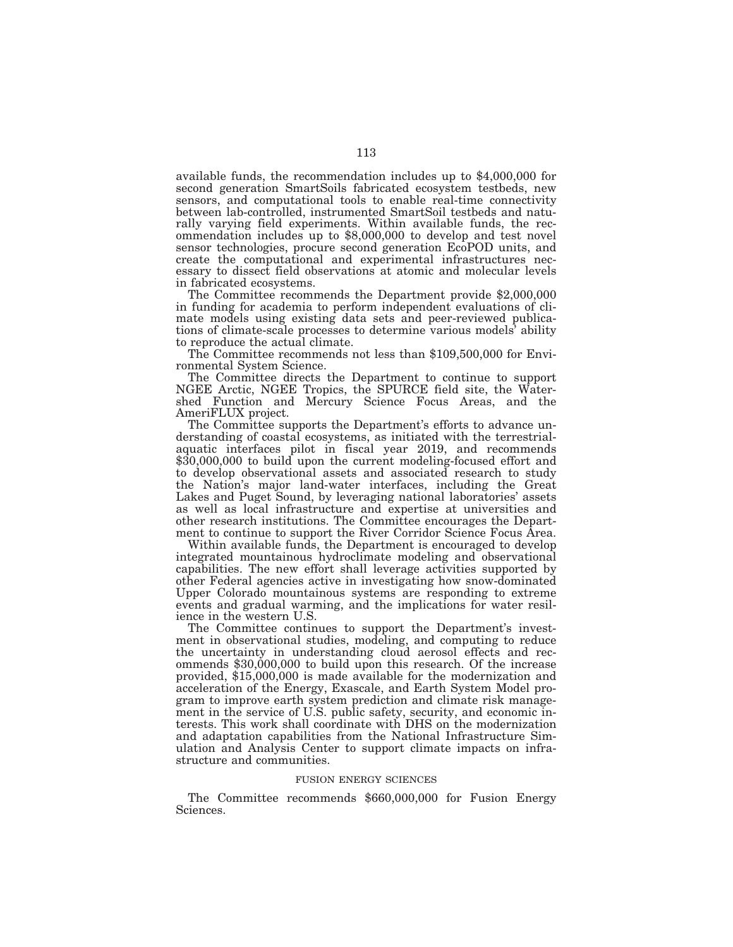available funds, the recommendation includes up to \$4,000,000 for second generation SmartSoils fabricated ecosystem testbeds, new sensors, and computational tools to enable real-time connectivity between lab-controlled, instrumented SmartSoil testbeds and naturally varying field experiments. Within available funds, the recommendation includes up to \$8,000,000 to develop and test novel sensor technologies, procure second generation EcoPOD units, and create the computational and experimental infrastructures necessary to dissect field observations at atomic and molecular levels

in fabricated ecosystems. The Committee recommends the Department provide \$2,000,000 in funding for academia to perform independent evaluations of climate models using existing data sets and peer-reviewed publications of climate-scale processes to determine various models' ability

to reproduce the actual climate. The Committee recommends not less than \$109,500,000 for Environmental System Science.

The Committee directs the Department to continue to support NGEE Arctic, NGEE Tropics, the SPURCE field site, the Watershed Function and Mercury Science Focus Areas, and the AmeriFLUX project.

The Committee supports the Department's efforts to advance understanding of coastal ecosystems, as initiated with the terrestrialaquatic interfaces pilot in fiscal year 2019, and recommends \$30,000,000 to build upon the current modeling-focused effort and to develop observational assets and associated research to study the Nation's major land-water interfaces, including the Great Lakes and Puget Sound, by leveraging national laboratories' assets as well as local infrastructure and expertise at universities and other research institutions. The Committee encourages the Department to continue to support the River Corridor Science Focus Area.

Within available funds, the Department is encouraged to develop integrated mountainous hydroclimate modeling and observational capabilities. The new effort shall leverage activities supported by other Federal agencies active in investigating how snow-dominated Upper Colorado mountainous systems are responding to extreme events and gradual warming, and the implications for water resilience in the western U.S.

The Committee continues to support the Department's investment in observational studies, modeling, and computing to reduce the uncertainty in understanding cloud aerosol effects and recommends \$30,000,000 to build upon this research. Of the increase provided, \$15,000,000 is made available for the modernization and acceleration of the Energy, Exascale, and Earth System Model program to improve earth system prediction and climate risk management in the service of U.S. public safety, security, and economic interests. This work shall coordinate with DHS on the modernization and adaptation capabilities from the National Infrastructure Simulation and Analysis Center to support climate impacts on infrastructure and communities.

#### FUSION ENERGY SCIENCES

The Committee recommends \$660,000,000 for Fusion Energy Sciences.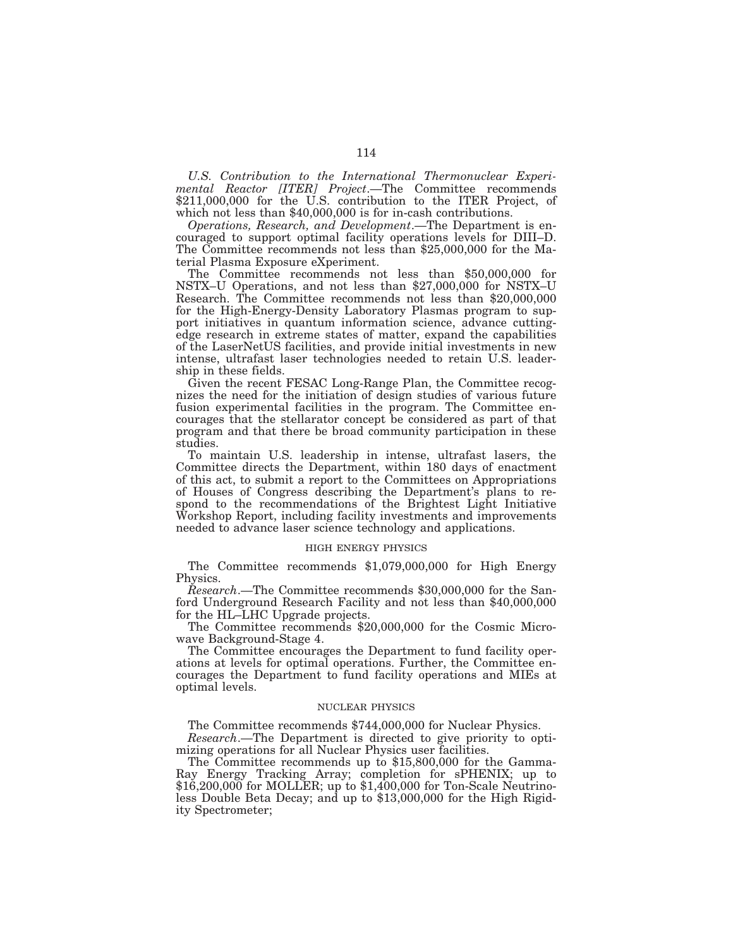*U.S. Contribution to the International Thermonuclear Experimental Reactor [ITER] Project*.—The Committee recommends \$211,000,000 for the U.S. contribution to the ITER Project, of which not less than \$40,000,000 is for in-cash contributions.

*Operations, Research, and Development*.—The Department is encouraged to support optimal facility operations levels for DIII–D. The Committee recommends not less than \$25,000,000 for the Material Plasma Exposure eXperiment.

The Committee recommends not less than \$50,000,000 for NSTX–U Operations, and not less than \$27,000,000 for NSTX–U Research. The Committee recommends not less than \$20,000,000 for the High-Energy-Density Laboratory Plasmas program to support initiatives in quantum information science, advance cuttingedge research in extreme states of matter, expand the capabilities of the LaserNetUS facilities, and provide initial investments in new intense, ultrafast laser technologies needed to retain U.S. leadership in these fields.

Given the recent FESAC Long-Range Plan, the Committee recognizes the need for the initiation of design studies of various future fusion experimental facilities in the program. The Committee encourages that the stellarator concept be considered as part of that program and that there be broad community participation in these studies.

To maintain U.S. leadership in intense, ultrafast lasers, the Committee directs the Department, within 180 days of enactment of this act, to submit a report to the Committees on Appropriations of Houses of Congress describing the Department's plans to respond to the recommendations of the Brightest Light Initiative Workshop Report, including facility investments and improvements needed to advance laser science technology and applications.

#### HIGH ENERGY PHYSICS

The Committee recommends \$1,079,000,000 for High Energy Physics.

*Research*.—The Committee recommends \$30,000,000 for the Sanford Underground Research Facility and not less than \$40,000,000 for the HL–LHC Upgrade projects.

The Committee recommends \$20,000,000 for the Cosmic Microwave Background-Stage 4.

The Committee encourages the Department to fund facility operations at levels for optimal operations. Further, the Committee encourages the Department to fund facility operations and MIEs at optimal levels.

#### NUCLEAR PHYSICS

The Committee recommends \$744,000,000 for Nuclear Physics.

*Research*.—The Department is directed to give priority to optimizing operations for all Nuclear Physics user facilities.

The Committee recommends up to \$15,800,000 for the Gamma-Ray Energy Tracking Array; completion for sPHENIX; up to \$16,200,000 for MOLLER; up to \$1,400,000 for Ton-Scale Neutrinoless Double Beta Decay; and up to \$13,000,000 for the High Rigidity Spectrometer;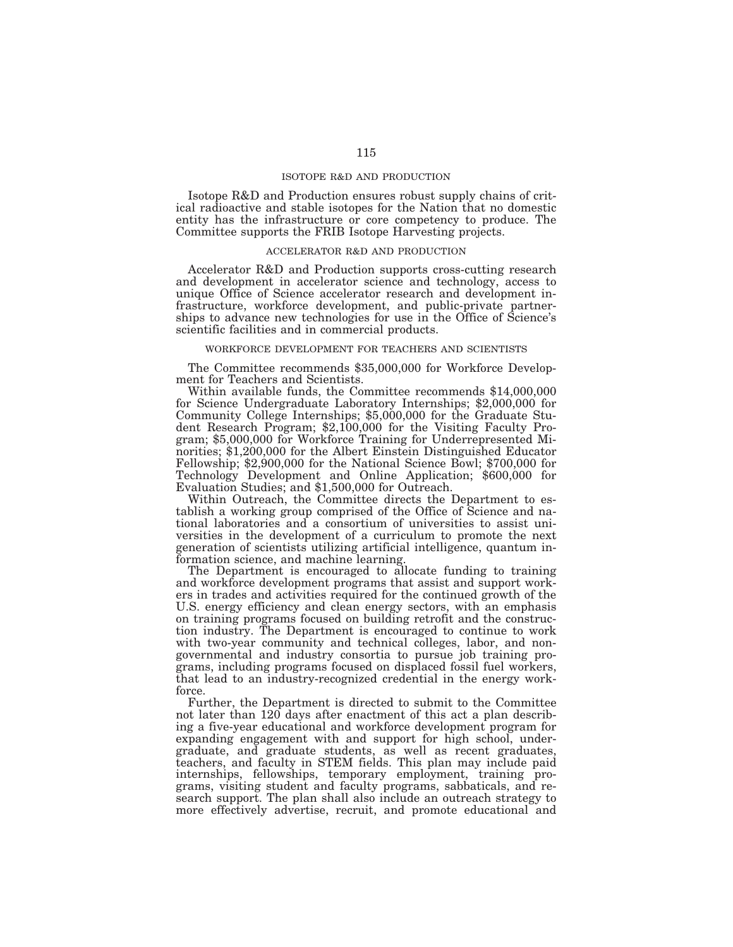## ISOTOPE R&D AND PRODUCTION

Isotope R&D and Production ensures robust supply chains of critical radioactive and stable isotopes for the Nation that no domestic entity has the infrastructure or core competency to produce. The Committee supports the FRIB Isotope Harvesting projects.

## ACCELERATOR R&D AND PRODUCTION

Accelerator R&D and Production supports cross-cutting research and development in accelerator science and technology, access to unique Office of Science accelerator research and development infrastructure, workforce development, and public-private partnerships to advance new technologies for use in the Office of Science's scientific facilities and in commercial products.

## WORKFORCE DEVELOPMENT FOR TEACHERS AND SCIENTISTS

The Committee recommends \$35,000,000 for Workforce Development for Teachers and Scientists.

Within available funds, the Committee recommends \$14,000,000 for Science Undergraduate Laboratory Internships; \$2,000,000 for Community College Internships; \$5,000,000 for the Graduate Student Research Program; \$2,100,000 for the Visiting Faculty Program; \$5,000,000 for Workforce Training for Underrepresented Minorities; \$1,200,000 for the Albert Einstein Distinguished Educator Fellowship; \$2,900,000 for the National Science Bowl; \$700,000 for Technology Development and Online Application; \$600,000 for Evaluation Studies; and \$1,500,000 for Outreach.

Within Outreach, the Committee directs the Department to establish a working group comprised of the Office of Science and national laboratories and a consortium of universities to assist universities in the development of a curriculum to promote the next generation of scientists utilizing artificial intelligence, quantum information science, and machine learning.

The Department is encouraged to allocate funding to training and workforce development programs that assist and support workers in trades and activities required for the continued growth of the U.S. energy efficiency and clean energy sectors, with an emphasis on training programs focused on building retrofit and the construction industry. The Department is encouraged to continue to work with two-year community and technical colleges, labor, and nongovernmental and industry consortia to pursue job training programs, including programs focused on displaced fossil fuel workers, that lead to an industry-recognized credential in the energy workforce.

Further, the Department is directed to submit to the Committee not later than 120 days after enactment of this act a plan describing a five-year educational and workforce development program for expanding engagement with and support for high school, undergraduate, and graduate students, as well as recent graduates, teachers, and faculty in STEM fields. This plan may include paid internships, fellowships, temporary employment, training programs, visiting student and faculty programs, sabbaticals, and research support. The plan shall also include an outreach strategy to more effectively advertise, recruit, and promote educational and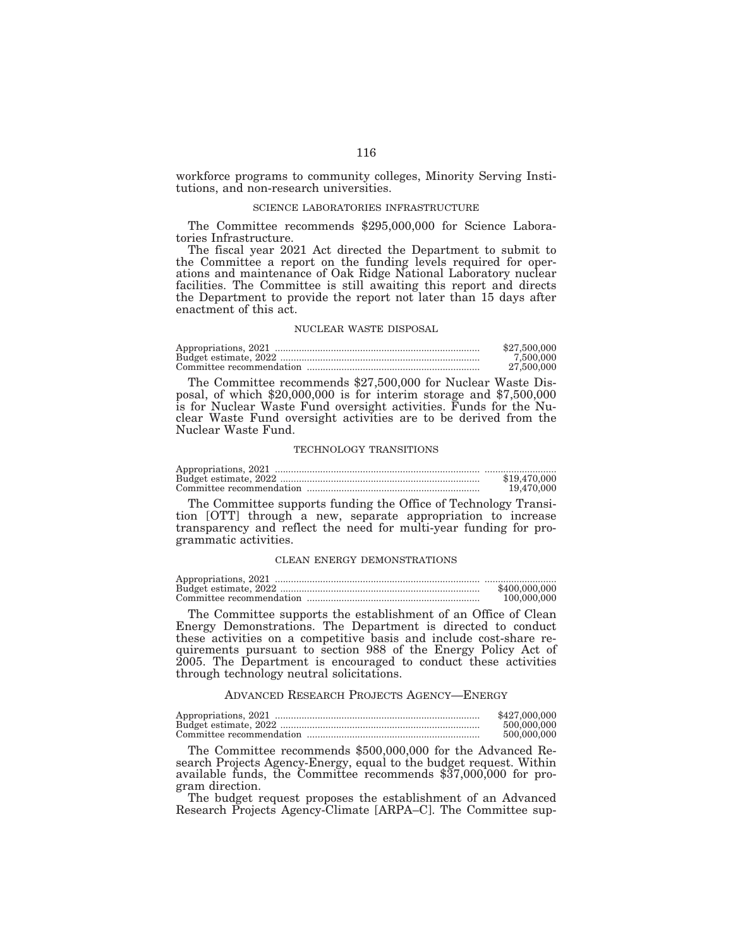workforce programs to community colleges, Minority Serving Institutions, and non-research universities.

#### SCIENCE LABORATORIES INFRASTRUCTURE

The Committee recommends \$295,000,000 for Science Laboratories Infrastructure.

The fiscal year 2021 Act directed the Department to submit to the Committee a report on the funding levels required for operations and maintenance of Oak Ridge National Laboratory nuclear facilities. The Committee is still awaiting this report and directs the Department to provide the report not later than 15 days after enactment of this act.

## NUCLEAR WASTE DISPOSAL

| \$27,500,000 |
|--------------|
| 7.500.000    |
| 27,500,000   |

The Committee recommends \$27,500,000 for Nuclear Waste Disposal, of which \$20,000,000 is for interim storage and \$7,500,000 is for Nuclear Waste Fund oversight activities. Funds for the Nuclear Waste Fund oversight activities are to be derived from the Nuclear Waste Fund.

### TECHNOLOGY TRANSITIONS

| \$19,470,000 |
|--------------|
| 19.470.000   |

The Committee supports funding the Office of Technology Transition [OTT] through a new, separate appropriation to increase transparency and reflect the need for multi-year funding for programmatic activities.

## CLEAN ENERGY DEMONSTRATIONS

| \$400,000,000 |
|---------------|
| 100,000,000   |

The Committee supports the establishment of an Office of Clean Energy Demonstrations. The Department is directed to conduct these activities on a competitive basis and include cost-share requirements pursuant to section 988 of the Energy Policy Act of 2005. The Department is encouraged to conduct these activities through technology neutral solicitations.

#### ADVANCED RESEARCH PROJECTS AGENCY—ENERGY

| \$427,000,000 |
|---------------|
| 500,000,000   |
| 500,000,000   |

The Committee recommends \$500,000,000 for the Advanced Research Projects Agency-Energy, equal to the budget request. Within available funds, the Committee recommends \$37,000,000 for program direction.

The budget request proposes the establishment of an Advanced Research Projects Agency-Climate [ARPA–C]. The Committee sup-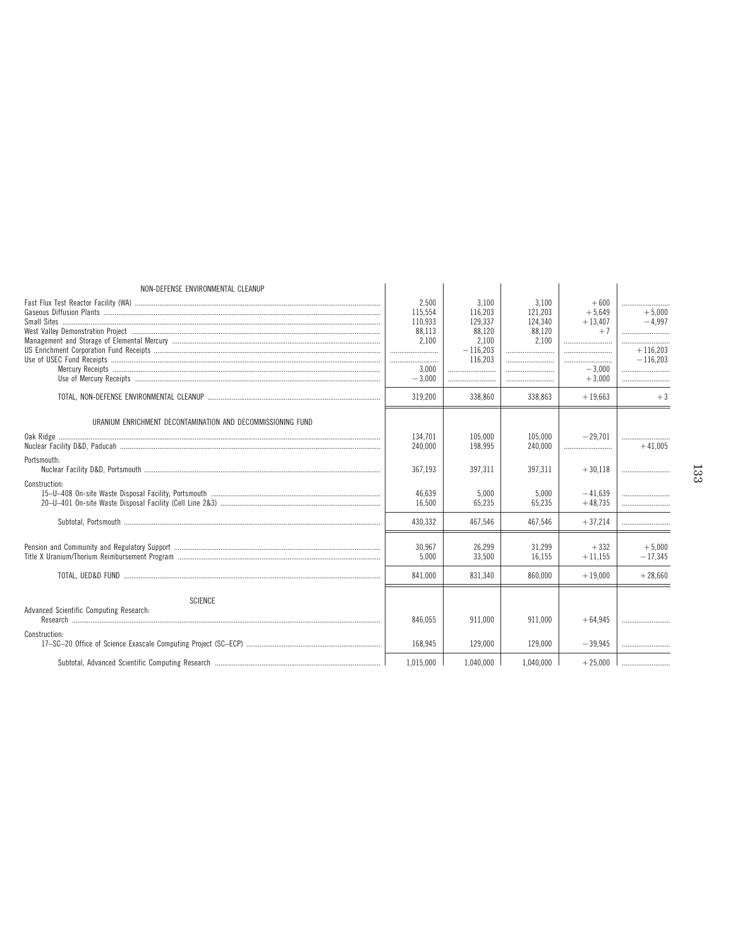| NON-DEFENSE ENVIRONMENTAL CLEANUP                                                           | 2,500<br>115,554<br>110.933<br>88,113<br>2,100<br><br>3,000<br>$-3,000$ | 3,100<br>116.203<br>129.337<br>88,120<br>2,100<br>$-116,203$<br>116,203<br><br> | 3.100<br>121,203<br>124.340<br>88.120<br>2.100<br>          | $+600$<br>$+5,649$<br>$+13.407$<br>$+7$<br>$-3,000$<br>$+3.000$ | <br>$+5.000$<br>$-4.997$<br><br>$+116.203$<br>$-116.203$<br> |
|---------------------------------------------------------------------------------------------|-------------------------------------------------------------------------|---------------------------------------------------------------------------------|-------------------------------------------------------------|-----------------------------------------------------------------|--------------------------------------------------------------|
|                                                                                             | 319,200                                                                 | 338,860                                                                         | 338,863                                                     | $+19,663$                                                       | $+3$                                                         |
| URANIUM ENRICHMENT DECONTAMINATION AND DECOMMISSIONING FUND<br>Portsmouth:<br>Construction: | 134,701<br>240,000<br>367.193<br>46.639<br>16,500<br>430,332            | 105.000<br>198,995<br>397.311<br>5,000<br>65,235<br>467,546                     | 105.000<br>240,000<br>397,311<br>5.000<br>65,235<br>467,546 | $-29.701$<br>$+30.118$<br>$-41.639$<br>$+48,735$<br>$+37,214$   | $+41,005$<br>                                                |
|                                                                                             | 30,967<br>5,000<br>841.000                                              | 26.299<br>33.500<br>831.340                                                     | 31.299<br>16.155<br>860,000                                 | $+332$<br>$+11,155$<br>$+19,000$                                | $+5.000$<br>$-17.345$<br>$+28.660$                           |
| <b>SCIENCE</b><br>Advanced Scientific Computing Research:<br>Construction:                  | 846.055<br>168.945                                                      | 911.000<br>129,000                                                              | 911.000<br>129.000                                          | $+64.945$<br>$-39.945$                                          |                                                              |
|                                                                                             | 1,015,000                                                               | 1,040,000                                                                       | 1,040,000                                                   | $+25,000$                                                       |                                                              |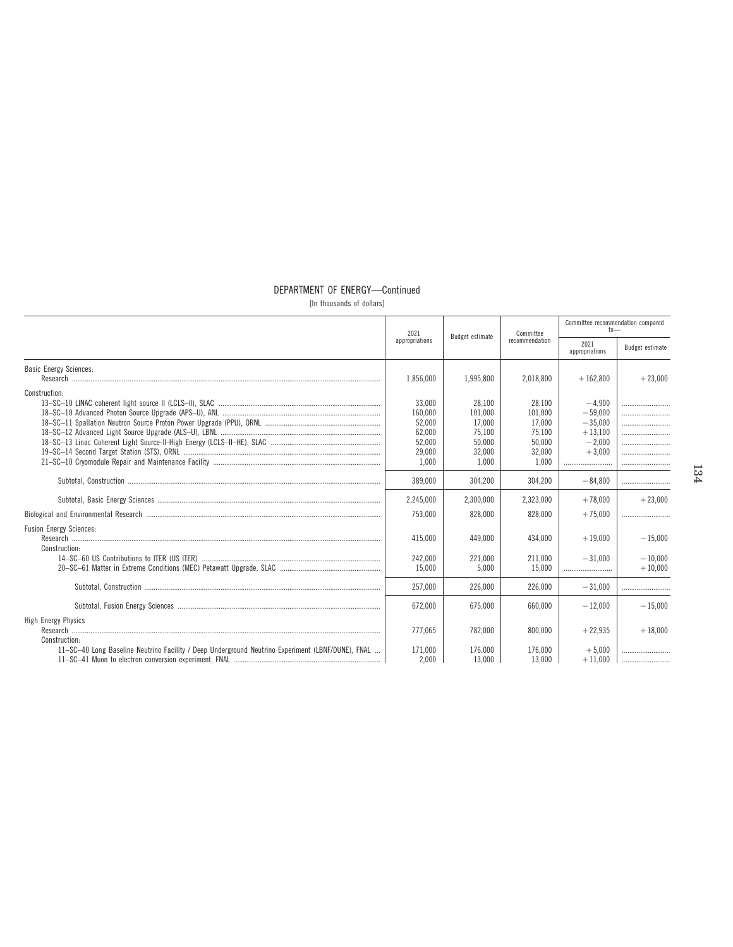# DEPARTMENT OF ENERGY-Continued

[In thousands of dollars]

|                                                                                                                                                                   | 2021                                                               | Budget estimate                                                    | Committee                                                          | Committee recommendation compared<br>$t_0$                              |                        |  |
|-------------------------------------------------------------------------------------------------------------------------------------------------------------------|--------------------------------------------------------------------|--------------------------------------------------------------------|--------------------------------------------------------------------|-------------------------------------------------------------------------|------------------------|--|
|                                                                                                                                                                   | appropriations                                                     |                                                                    | recommendation                                                     | 2021<br>appropriations                                                  | Budget estimate        |  |
| <b>Basic Energy Sciences:</b>                                                                                                                                     | 1,856,000                                                          | 1,995,800                                                          | 2,018,800                                                          | $+162,800$                                                              | $+23,000$              |  |
| Construction:                                                                                                                                                     | 33,000<br>160,000<br>52.000<br>62,000<br>52,000<br>29,000<br>1,000 | 28,100<br>101,000<br>17.000<br>75,100<br>50,000<br>32,000<br>1.000 | 28.100<br>101.000<br>17.000<br>75.100<br>50.000<br>32,000<br>1.000 | $-4.900$<br>$-59.000$<br>$-35.000$<br>$+13.100$<br>$-2.000$<br>$+3,000$ | <br><br><br>           |  |
|                                                                                                                                                                   | 389,000                                                            | 304.200                                                            | 304.200                                                            | $-84.800$                                                               |                        |  |
|                                                                                                                                                                   | 2,245,000                                                          | 2.300.000                                                          | 2,323,000                                                          | $+78.000$                                                               | $+23.000$              |  |
| Biological and Environmental Research (1000) (1000) (1000) (1000) (1000) (1000) (1000) (1000) (1000) (1000) (1<br><b>Fusion Energy Sciences:</b><br>Construction: | 753.000<br>415.000<br>242,000                                      | 828,000<br>449.000<br>221,000                                      | 828,000<br>434.000<br>211.000                                      | $+75.000$<br>$+19.000$<br>$-31.000$                                     | $-15,000$<br>$-10.000$ |  |
|                                                                                                                                                                   | 15.000                                                             | 5.000                                                              | 15.000                                                             |                                                                         | $+10.000$              |  |
|                                                                                                                                                                   | 257.000                                                            | 226,000                                                            | 226,000                                                            | $-31.000$                                                               |                        |  |
|                                                                                                                                                                   | 672.000                                                            | 675.000                                                            | 660.000                                                            | $-12.000$                                                               | $-15.000$              |  |
| High Energy Physics<br>Construction:                                                                                                                              | 777.065                                                            | 782,000                                                            | 800.000                                                            | $+22.935$                                                               | $+18.000$              |  |
| 11-SC-40 Long Baseline Neutrino Facility / Deep Underground Neutrino Experiment (LBNF/DUNE), FNAL                                                                 | 171.000<br>2,000                                                   | 176.000<br>13,000                                                  | 176.000<br>13.000                                                  | $+5.000$<br>$+11.000$                                                   |                        |  |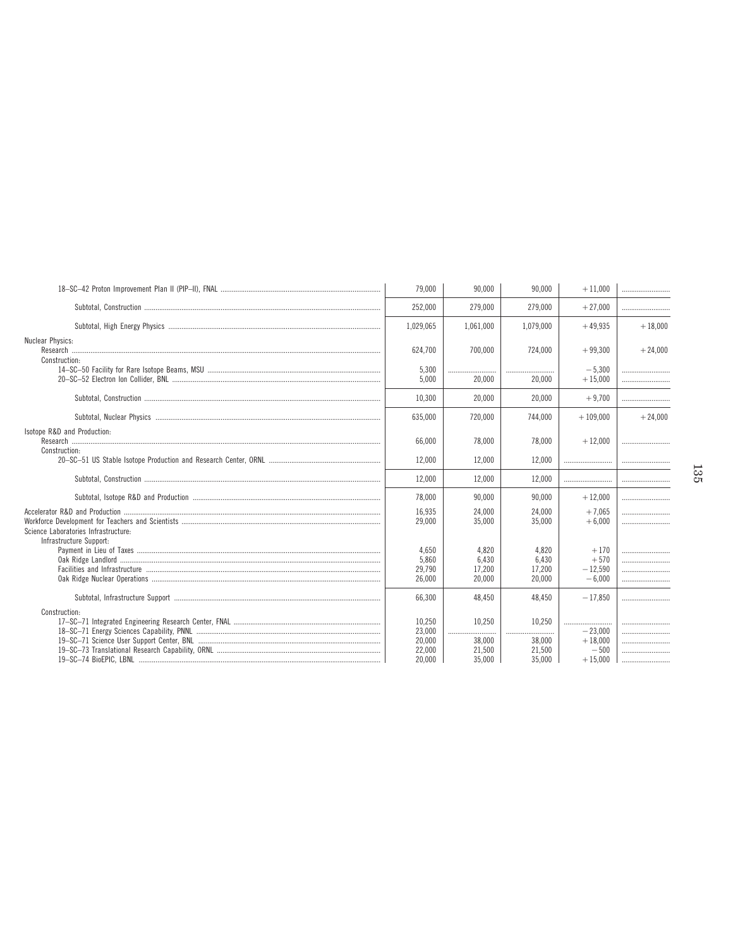|                                              | 79,000                               | 90,000                             | 90,000                              | $+11,000$                                 |           |  |
|----------------------------------------------|--------------------------------------|------------------------------------|-------------------------------------|-------------------------------------------|-----------|--|
|                                              | 252,000                              | 279,000                            | 279,000                             | $+27,000$                                 |           |  |
|                                              | 1,029,065                            | 1,061,000                          | 1,079,000                           | $+49.935$                                 | $+18,000$ |  |
| Nuclear Physics:<br>Construction:            | 624,700                              | 700.000                            | 724,000                             | $+99,300$                                 | $+24,000$ |  |
|                                              | 5,300<br>5.000                       | <br>20,000                         | <br>20.000                          | $-5.300$<br>$+15.000$                     |           |  |
|                                              | 10.300                               | 20.000                             | 20.000                              | $+9.700$                                  |           |  |
|                                              | 635.000                              | 720,000                            | 744.000                             | $+109.000$                                | $+24,000$ |  |
| Isotope R&D and Production:<br>Construction: | 66.000                               | 78.000                             | 78.000                              | $+12.000$                                 |           |  |
|                                              | 12.000                               | 12.000                             | 12.000                              |                                           |           |  |
|                                              | 12.000                               | 12.000                             | 12.000                              |                                           |           |  |
|                                              | 78.000                               | 90.000                             | 90.000                              | $+12,000$                                 |           |  |
| Science Laboratories Infrastructure:         | 16.935<br>29.000                     | 24.000<br>35.000                   | 24.000<br>35.000                    | $+7.065$<br>$+6.000$                      |           |  |
| Infrastructure Support:                      | 4,650<br>5.860<br>29,790<br>26.000   | 4,820<br>6,430<br>17,200<br>20,000 | 4.820<br>6.430<br>17.200<br>20,000  | $+170$<br>$+570$<br>$-12.590$<br>$-6.000$ | <br>      |  |
|                                              | 66.300                               | 48.450                             | 48.450                              | $-17.850$                                 |           |  |
| Construction:                                | 10,250<br>23,000<br>20,000<br>22,000 | 10,250<br>.<br>38,000<br>21,500    | 10.250<br><br>.<br>38,000<br>21,500 | <br>$-23,000$<br>$+18,000$<br>$-500$      | <br><br>  |  |
|                                              | 20.000                               | 35,000                             | 35.000                              | $+15,000$                                 |           |  |